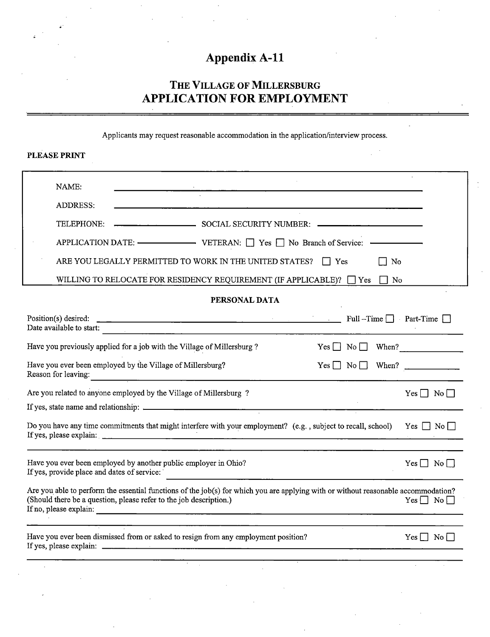# Appendix A-11

## The Village of Millersburg APPLICATION FOR EMPLOYMENT

Applicants may request reasonable accommodation in the application/interview process.

| <b>PLEASE PRINT</b>                                                                                                                                                                                                                                                                                                                                                                                                                                                           |  |  |  |  |  |  |
|-------------------------------------------------------------------------------------------------------------------------------------------------------------------------------------------------------------------------------------------------------------------------------------------------------------------------------------------------------------------------------------------------------------------------------------------------------------------------------|--|--|--|--|--|--|
| NAME:<br><b>ADDRESS:</b><br><u> 1989 - Johann Johann Johann Johann Johann Johann Johann Johann Johann Johann Johann Johann Johann Johann Joh</u><br>SOCIAL SECURITY NUMBER:<br>TELEPHONE:<br>APPLICATION DATE: $\longrightarrow$ VETERAN: $\Box$ Yes $\Box$ No Branch of Service: $\longrightarrow$<br>ARE YOU LEGALLY PERMITTED TO WORK IN THE UNITED STATES? $\Box$ Yes<br>$\Box$ No<br>WILLING TO RELOCATE FOR RESIDENCY REQUIREMENT (IF APPLICABLE)? $\Box$ Yes $\Box$ No |  |  |  |  |  |  |
| PERSONAL DATA                                                                                                                                                                                                                                                                                                                                                                                                                                                                 |  |  |  |  |  |  |
| <b>Example 20</b> Part-Time ■ Part-Time ■ Part-Time ■ Part-Time ■ Part-Time ■<br>Position(s) desired:<br>Date available to start:                                                                                                                                                                                                                                                                                                                                             |  |  |  |  |  |  |
| Have you previously applied for a job with the Village of Millersburg?<br>$Yes \tNo \tWhen?$                                                                                                                                                                                                                                                                                                                                                                                  |  |  |  |  |  |  |
| Have you ever been employed by the Village of Millersburg?<br>$Yes \Box No \Box When?$<br>Reason for leaving:<br><u> 1980 - Jan James James James James James James James James James James James James James James James James J</u>                                                                                                                                                                                                                                         |  |  |  |  |  |  |
| Are you related to anyone employed by the Village of Millersburg?<br>$Yes \Box No \Box$                                                                                                                                                                                                                                                                                                                                                                                       |  |  |  |  |  |  |
| Do you have any time commitments that might interfere with your employment? (e.g., subject to recall, school) Yes $\Box$ No $\Box$<br>If yes, please explain: $\frac{1}{2}$ $\frac{1}{2}$ $\frac{1}{2}$ $\frac{1}{2}$ $\frac{1}{2}$ $\frac{1}{2}$ $\frac{1}{2}$ $\frac{1}{2}$ $\frac{1}{2}$ $\frac{1}{2}$ $\frac{1}{2}$ $\frac{1}{2}$ $\frac{1}{2}$ $\frac{1}{2}$ $\frac{1}{2}$ $\frac{1}{2}$ $\frac{1}{2}$ $\frac{1}{2}$ $\frac{1}{2}$ $\frac{1}{2$                          |  |  |  |  |  |  |
| Have you ever been employed by another public employer in Ohio?<br>$Yes \Box No \Box$<br>If yes, provide place and dates of service:                                                                                                                                                                                                                                                                                                                                          |  |  |  |  |  |  |
| Are you able to perform the essential functions of the job(s) for which you are applying with or without reasonable accommodation?<br>(Should there be a question, please refer to the job description.)<br>$Yes \Box No \Box$<br>If no, please explain:                                                                                                                                                                                                                      |  |  |  |  |  |  |
| Have you ever been dismissed from or asked to resign from any employment position?<br>$Yes \Box No \Box$<br>If yes, please explain:<br><u> 2000 - Jan Jan Jawa Barat, masjid a shekarar 1980 - André a Santa Barat, masjid a shekarar 1980 - André a Sa</u>                                                                                                                                                                                                                   |  |  |  |  |  |  |
|                                                                                                                                                                                                                                                                                                                                                                                                                                                                               |  |  |  |  |  |  |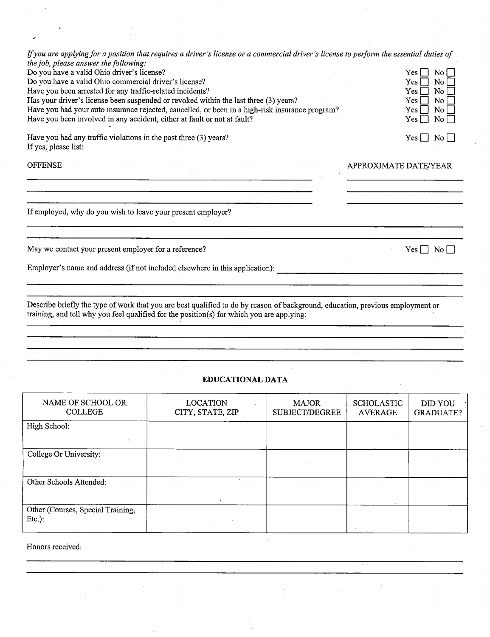| If you are applying for a position that requires a driver's license or a commercial driver's license to perform the essential duties of<br>the job, please answer the following:<br>Do you have a valid Ohio driver's license?<br>Do you have a valid Ohio commercial driver's license?<br>Have you been arrested for any traffic-related incidents?<br>Has your driver's license been suspended or revoked within the last three (3) years?<br>Have you had your auto insurance rejected, cancelled, or been in a high-risk insurance program?<br>Have you been involved in any accident, either at fault or not at fault?<br>Have you had any traffic violations in the past three $(3)$ years?<br>If yes, please list: | $\rm No$<br>Yes    <br>Yes.<br>No<br>No.<br>Yes.<br>Yes.<br>$\overline{N}$ o<br>Yes.<br>$\rm\,No$<br>No<br>Yes l<br>$Yes \Box No \Box$ |  |  |
|---------------------------------------------------------------------------------------------------------------------------------------------------------------------------------------------------------------------------------------------------------------------------------------------------------------------------------------------------------------------------------------------------------------------------------------------------------------------------------------------------------------------------------------------------------------------------------------------------------------------------------------------------------------------------------------------------------------------------|----------------------------------------------------------------------------------------------------------------------------------------|--|--|
| <b>OFFENSE</b>                                                                                                                                                                                                                                                                                                                                                                                                                                                                                                                                                                                                                                                                                                            | APPROXIMATE DATE/YEAR                                                                                                                  |  |  |
|                                                                                                                                                                                                                                                                                                                                                                                                                                                                                                                                                                                                                                                                                                                           |                                                                                                                                        |  |  |
| If employed, why do you wish to leave your present employer?                                                                                                                                                                                                                                                                                                                                                                                                                                                                                                                                                                                                                                                              |                                                                                                                                        |  |  |
|                                                                                                                                                                                                                                                                                                                                                                                                                                                                                                                                                                                                                                                                                                                           |                                                                                                                                        |  |  |
| May we contact your present employer for a reference?                                                                                                                                                                                                                                                                                                                                                                                                                                                                                                                                                                                                                                                                     | Yes    <br>No                                                                                                                          |  |  |
| Employer's name and address (if not included elsewhere in this application):                                                                                                                                                                                                                                                                                                                                                                                                                                                                                                                                                                                                                                              |                                                                                                                                        |  |  |
| Describe briefly the type of work that you are best qualified to do by reason of background, education, previous employment or                                                                                                                                                                                                                                                                                                                                                                                                                                                                                                                                                                                            |                                                                                                                                        |  |  |

training, and tell why you feel qualified for the position(s) for which you are applying:

#### EDUCATIONAL DATA

| NAME OF SCHOOL OR<br><b>COLLEGE</b>            | <b>LOCATION</b><br>CITY, STATE, ZIP | <b>MAJOR</b><br><b>SUBJECT/DEGREE</b> | <b>SCHOLASTIC</b><br><b>AVERAGE</b> | DID YOU<br><b>GRADUATE?</b> |
|------------------------------------------------|-------------------------------------|---------------------------------------|-------------------------------------|-----------------------------|
| High School:                                   |                                     |                                       |                                     |                             |
| College Or University:                         |                                     |                                       |                                     |                             |
| Other Schools Attended:                        | $\cdot$<br>$\sim$                   |                                       |                                     |                             |
| Other (Courses, Special Training,<br>$Etc.$ ): | $\sim 10^{-1}$                      |                                       |                                     |                             |

**Contract Contract** 

#### Honors received: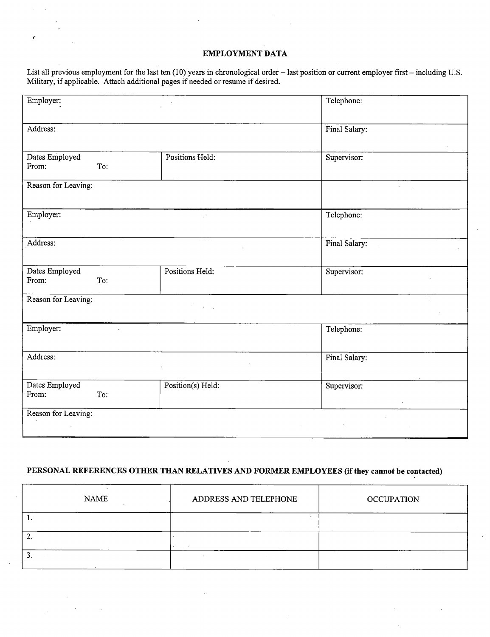### EMPLOYMENT DATA

ŕ

List all previous employment for the last ten (10) years in chronological order - last position or current employer first — including U.S. Military, if applicable. Attach additional pages if needed or resume if desired.

| Employer:           |                   | Telephone:                    |
|---------------------|-------------------|-------------------------------|
|                     |                   |                               |
| Address:            |                   | Final Salary:                 |
| Dates Employed      | Positions Held:   | Supervisor:                   |
| From:<br>To:        |                   |                               |
| Reason for Leaving: |                   |                               |
|                     |                   |                               |
| Employer:           | $\mathbb{R}^+$    | Telephone:                    |
|                     |                   |                               |
| Address:            |                   | Final Salary:<br>$\mathbf{r}$ |
| Dates Employed      | Positions Held:   | Supervisor:                   |
| From:<br>To:        |                   |                               |
| Reason for Leaving: |                   | $\sim$                        |
|                     |                   |                               |
| Employer:           |                   | Telephone:                    |
|                     |                   |                               |
| Address:            | $\mathcal{L}$     | Final Salary:                 |
| Dates Employed      | Position(s) Held: | Supervisor:                   |
| From:<br>To:        |                   |                               |
| Reason for Leaving: |                   |                               |
|                     |                   |                               |

### PERSONAL REFERENCES OTHER THAN RELATIVES AND FORMER EMPLOYEES (if they cannot be contacted)

| <b>NAME</b> | ADDRESS AND TELEPHONE | <b>OCCUPATION</b> |
|-------------|-----------------------|-------------------|
| . .         |                       |                   |
| ٠.          |                       |                   |
|             |                       |                   |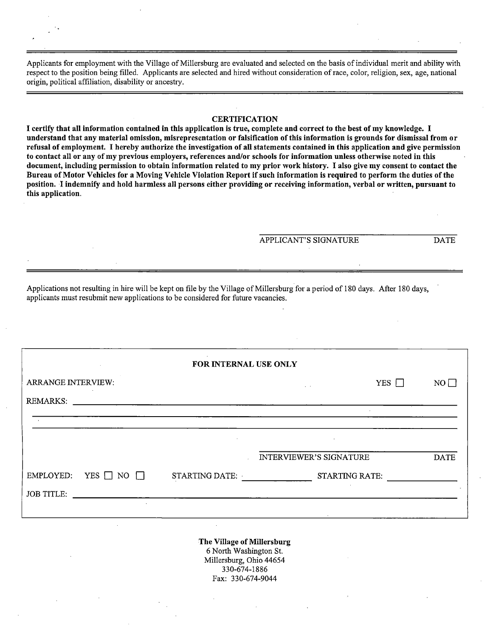Applicants for employment with the Village of Millersburg are evaluated and selected on the basis of individual merit and ability with respect to the position being filled. Applicants are selected and hired without consideration of race, color, religion, sex, age, national origin, political affiliation, disability or ancestry.

CERTIFICATION<br>I certify that all information contained in this application is true, complete and correct to the best of my knowledge. I I certify that all information contained in this application is true, complete and correct to the best of my knowledge. I<br>understand that any material emission, misronresentation or falsification of this information is gro understand that any material omission, misrepresentation or falsification of this information is grounds for dismissal from or refusal of employment. I hereby authorize the investigation of all statements contained in this application and give permission to contact all or any of my previous employers, references and/or schools for information unless otherwise noted in this document, including permission to obtain information related to my prior work history. I also give my consent to contact the Bureau of Motor Vehicles for a Moving Vehicle Violation Report if such information is required to perform the duties of the position. I indemnify and hold harmless all persons either providing or receiving information, verbal or written, pursuant to this application.

APPLICANT'S SIGNATURE DATE

Applications not resulting in hire will be kept on file by the Village of Millersburg for a period of 180 days. After 180 days, applicants must resubmit new applications to be considered for future vacancies.

| <b>College</b><br>FOR INTERNAL USE ONLY |                                               |                         |             |  |  |  |
|-----------------------------------------|-----------------------------------------------|-------------------------|-------------|--|--|--|
| <b>ARRANGE INTERVIEW:</b>               |                                               | YES $\Box$<br>$\sim$    | $NO$ $\Box$ |  |  |  |
| REMARKS:                                | <u> 1989 - Andrea Andrew Maria (h. 1989).</u> |                         |             |  |  |  |
| $\sim$                                  |                                               |                         |             |  |  |  |
|                                         | $\sim$                                        | $\sim$                  |             |  |  |  |
|                                         |                                               | INTERVIEWER'S SIGNATURE | <b>DATE</b> |  |  |  |
| YES $\Box$ NO $\Box$<br>EMPLOYED:       | STARTING DATE:                                | <b>STARTING RATE:</b>   |             |  |  |  |
| <b>JOB TITLE:</b>                       |                                               |                         |             |  |  |  |
| $\sim$                                  |                                               |                         |             |  |  |  |

The Village of Millersburg 6 North Washington St. Millersburg, Ohio 44654 330-674-1886 Fax: 330-674-9044